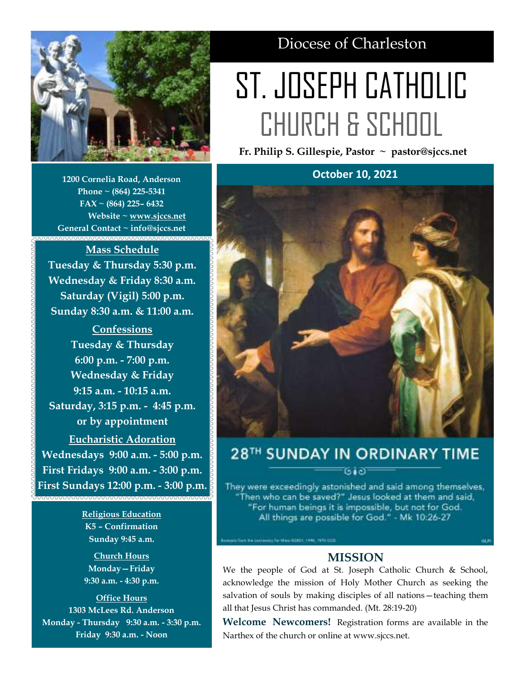

**1200 Cornelia Road, Anderson Phone ~ (864) 225-5341 FAX ~ (864) 225– 6432 Website ~ [www.sjccs.net](http://www.sjccs.net) General Contact ~ info@sjccs.net**

**Mass Schedule Tuesday & Thursday 5:30 p.m. Wednesday & Friday 8:30 a.m. Saturday (Vigil) 5:00 p.m. Sunday 8:30 a.m. & 11:00 a.m.**

**Confessions Tuesday & Thursday 6:00 p.m. - 7:00 p.m. Wednesday & Friday 9:15 a.m. - 10:15 a.m. Saturday, 3:15 p.m. - 4:45 p.m. or by appointment Eucharistic Adoration Wednesdays 9:00 a.m. - 5:00 p.m. First Fridays 9:00 a.m. - 3:00 p.m. First Sundays 12:00 p.m. - 3:00 p.m.**

> **Religious Education K5 – Confirmation Sunday 9:45 a.m.**

**Church Hours Monday—Friday 9:30 a.m. - 4:30 p.m.**

**Office Hours 1303 McLees Rd. Anderson Monday - Thursday 9:30 a.m. - 3:30 p.m. Friday 9:30 a.m. - Noon**

# Diocese of Charleston

# ST. JOSEPH CATHOLIC CHURCH & SCHOOL

**Fr. Philip S. Gillespie, Pastor ~ pastor@sjccs.net**

**October 10, 2021**



# 28TH SUNDAY IN ORDINARY TIME

توقف They were exceedingly astonished and said among themselves, 'Then who can be saved?" Jesus looked at them and said,<br>Por human beings it is impossible, but not for God. All things are possible for God." - Mk 10:26-27

o ho Maio misiri, 1998, 1993 CCS

# **MISSION**

We the people of God at St. Joseph Catholic Church & School, acknowledge the mission of Holy Mother Church as seeking the salvation of souls by making disciples of all nations—teaching them all that Jesus Christ has commanded. (Mt. 28:19-20)

**Welcome Newcomers!** Registration forms are available in the Narthex of the church or online at www.sjccs.net.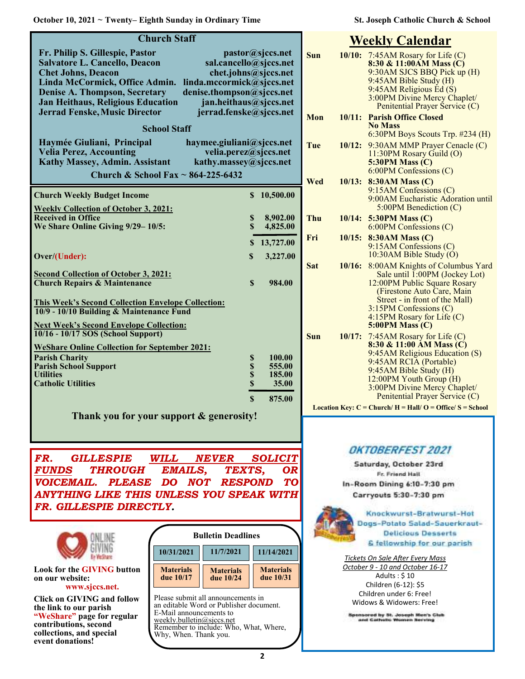**October 10, 2021 ~ Twenty– Eighth Sunday in Ordinary Time St. Joseph Catholic Church & School** 

| <b>Church Staff</b>                                                                                                                                                                                                        |                                                                                                                                    |                      |            |
|----------------------------------------------------------------------------------------------------------------------------------------------------------------------------------------------------------------------------|------------------------------------------------------------------------------------------------------------------------------------|----------------------|------------|
| Fr. Philip S. Gillespie, Pastor<br><b>Salvatore L. Cancello, Deacon</b><br><b>Chet Johns, Deacon</b><br>Linda McCormick, Office Admin.<br><b>Denise A. Thompson, Secretary</b><br><b>Jan Heithaus, Religious Education</b> | sal.cancello@sjccs.net<br>chet.johns@sjccs.net<br>linda.mccormick@sjccs.net<br>denise.thompson@sjccs.net<br>jan.heithaus@sjccs.net | pastor@sjccs.net     | <b>Sun</b> |
| <b>Jerrad Fenske, Music Director</b><br><b>School Staff</b>                                                                                                                                                                | jerrad.fenske@sjccs.net                                                                                                            |                      | Mon        |
| Haymée Giuliani, Principal<br><b>Velia Perez, Accounting</b><br>Kathy Massey, Admin. Assistant<br>Church & School Fax $\sim$ 864-225-6432                                                                                  | haymee.giuliani@sjccs.net<br>velia.perez@sjccs.net<br>kathy.massey@sjccs.net                                                       |                      | Tue        |
|                                                                                                                                                                                                                            |                                                                                                                                    |                      | Wed        |
| <b>Church Weekly Budget Income</b>                                                                                                                                                                                         | $\mathbf S$                                                                                                                        | 10,500.00            |            |
| <b>Weekly Collection of October 3, 2021:</b><br><b>Received in Office</b><br>We Share Online Giving 9/29-10/5:                                                                                                             | \$<br>$\mathbf S$                                                                                                                  | 8,902.00<br>4,825.00 | Thu        |
|                                                                                                                                                                                                                            | \$                                                                                                                                 | 13,727.00            | Fri        |
| Over/(Under):                                                                                                                                                                                                              | \$                                                                                                                                 | 3,227.00             |            |
| <b>Second Collection of October 3, 2021:</b><br><b>Church Repairs &amp; Maintenance</b>                                                                                                                                    | $\mathbf S$                                                                                                                        | 984.00               | <b>Sat</b> |
| <b>This Week's Second Collection Envelope Collection:</b><br>10/9 - 10/10 Building & Maintenance Fund                                                                                                                      |                                                                                                                                    |                      |            |
| <b>Next Week's Second Envelope Collection:</b><br>10/16 - 10/17 SOS (School Support)                                                                                                                                       |                                                                                                                                    |                      | <b>Sun</b> |
| <b>WeShare Online Collection for September 2021:</b>                                                                                                                                                                       |                                                                                                                                    |                      |            |
| <b>Parish Charity</b>                                                                                                                                                                                                      | \$                                                                                                                                 | 100.00               |            |
| <b>Parish School Support</b><br><b>Utilities</b>                                                                                                                                                                           | \$<br>\$                                                                                                                           | 555.00<br>185.00     |            |
| <b>Catholic Utilities</b>                                                                                                                                                                                                  | \$                                                                                                                                 | 35.00                |            |
|                                                                                                                                                                                                                            | $\mathbf S$                                                                                                                        | 875.00               | Loc        |

**Thank you for your support & generosity!**

*FR. GILLESPIE WILL NEVER SOLICIT FUNDS THROUGH EMAILS, TEXTS, OR VOICEMAIL. PLEASE DO NOT RESPOND TO ANYTHING LIKE THIS UNLESS YOU SPEAK WITH FR. GILLESPIE DIRECTLY.*



**Look for the GIVING button on our website: www.sjccs.net.** 

**Click on GIVING and follow the link to our parish "WeShare" page for regular contributions, second collections, and special event donations!**

| <b>Bulletin Deadlines</b>     |                               |                               |
|-------------------------------|-------------------------------|-------------------------------|
| 10/31/2021                    | 11/7/2021                     | 11/14/2021                    |
| <b>Materials</b><br>due 10/17 | <b>Materials</b><br>due 10/24 | <b>Materials</b><br>due 10/31 |
|                               |                               |                               |

Please submit all announcements in an editable Word or Publisher document. E-Mail announcements to weekly.bulletin@sjccs.net Remember to include: Who, What, Where, Why, When. Thank you.

# **Weekly Calendar**

| Sun                                                            |        | 10/10: 7:45AM Rosary for Life $(C)$<br>8:30 & 11:00AM Mass (C)<br>9:30AM SJCS BBQ Pick up (H)<br>9:45AM Bible Study (H)<br>9:45AM Religious Ed (S)<br>3:00PM Divine Mercy Chaplet/<br>Penitential Prayer Service (C)                             |
|----------------------------------------------------------------|--------|--------------------------------------------------------------------------------------------------------------------------------------------------------------------------------------------------------------------------------------------------|
| Mon                                                            | 10/11: | <b>Parish Office Closed</b><br><b>No Mass</b><br>$6:30PM$ Boys Scouts Trp. #234 (H)                                                                                                                                                              |
| Tue                                                            | 10/12: | 9:30AM MMP Prayer Cenacle (C)<br>11:30PM Rosary Guild (O)<br>$5:30PM$ Mass $(C)$<br>6:00PM Confessions (C)                                                                                                                                       |
| Wed                                                            | 10/13: | <b>8:30AM Mass (C)</b><br>9:15AM Confessions (C)<br>9:00AM Eucharistic Adoration until<br>5:00PM Benediction (C)                                                                                                                                 |
| Thu                                                            | 10/14: | $5:30PM$ Mass $(C)$<br>6:00PM Confessions (C)                                                                                                                                                                                                    |
| Fri                                                            | 10/15: | <b>8:30AM Mass (C)</b><br>9:15AM Confessions (C)<br>10:30AM Bible Study (O)                                                                                                                                                                      |
| <b>Sat</b>                                                     | 10/16: | 8:00AM Knights of Columbus Yard<br>Sale until 1:00PM (Jockey Lot)<br>12:00PM Public Square Rosary<br>(Firestone Auto Care, Main<br>Street - in front of the Mall)<br>3:15PM Confessions (C)<br>4:15PM Rosary for Life (C)<br>$5:00PM$ Mass $(C)$ |
| Sun                                                            | 10/17: | 7:45AM Rosary for Life $(C)$<br>8:30 & 11:00 AM Mass (C)<br>9:45AM Religious Education (S)<br>9:45AM RCIA (Portable)<br>9:45AM Bible Study (H)<br>12:00PM Youth Group (H)<br>3:00PM Divine Mercy Chaplet/<br>Penitential Prayer Service (C)      |
| <b>Location Key: C = Church/H = Hall/O = Office/S = School</b> |        |                                                                                                                                                                                                                                                  |

# OKTOBERFEST 2021

Saturday, October 23rd Fr. Friend Hall In-Room Dining 6:10-7:30 pm Carryouts 5:30-7:30 pm



Knockwurst-Bratwurst-Hot Dogs-Potato Salad-Sauerkraut-**Delicious Desserts** & fellowship for our parish

*Tickets On Sale After Every Mass October 9 - 10 and October 16-17* Adults : \$ 10 Children (6-12): \$5 Children under 6: Free! Widows & Widowers: Free!

msored by St. Joseph Men's Glub<br>and Catholic Women Serving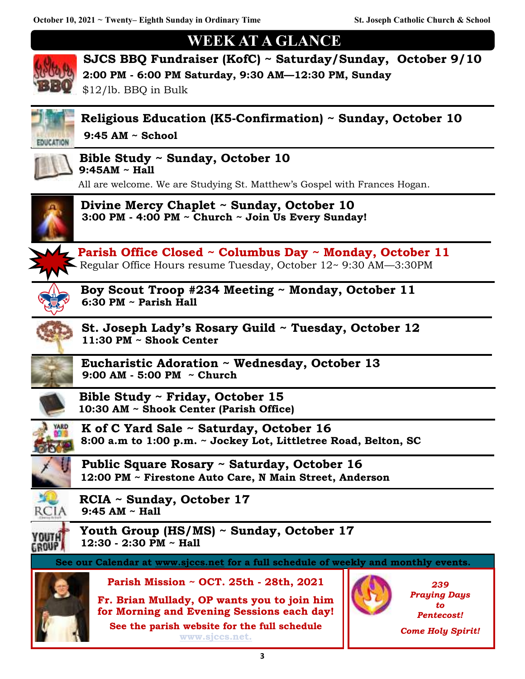# **WEEK AT A GLANCE**



**SJCS BBQ Fundraiser (KofC) ~ Saturday/Sunday, October 9/10 2:00 PM - 6:00 PM Saturday, 9:30 AM—12:30 PM, Sunday** \$12/lb. BBQ in Bulk



**Religious Education (K5-Confirmation) ~ Sunday, October 10 9:45 AM ~ School** 



# **Bible Study ~ Sunday, October 10 9:45AM ~ Hall**

All are welcome. We are Studying St. Matthew's Gospel with Frances Hogan.



 **Divine Mercy Chaplet ~ Sunday, October 10 3:00 PM - 4:00 PM ~ Church ~ Join Us Every Sunday!**

**Parish Office Closed ~ Columbus Day ~ Monday, October 11** Regular Office Hours resume Tuesday, October 12~ 9:30 AM-3:30PM



 **Boy Scout Troop #234 Meeting ~ Monday, October 11 6:30 PM ~ Parish Hall** 



 **St. Joseph Lady's Rosary Guild ~ Tuesday, October 12 11:30 PM ~ Shook Center**



 **Bible Study ~ Friday, October 15 10:30 AM ~ Shook Center (Parish Office)**



**K of C Yard Sale ~ Saturday, October 16 8:00 a.m to 1:00 p.m. ~ Jockey Lot, Littletree Road, Belton, SC**



 **Public Square Rosary ~ Saturday, October 16 12:00 PM ~ Firestone Auto Care, N Main Street, Anderson**



 **RCIA ~ Sunday, October 17 9:45 AM ~ Hall**



 **Youth Group (HS/MS) ~ Sunday, October 17 12:30 - 2:30 PM ~ Hall**

**See our Calendar at [www.sjccs.net](http://www.sjccs.net) for a full schedule of weekly and monthly events.**



**Parish Mission ~ OCT. 25th - 28th, 2021**

**Fr. Brian Mullady, OP wants you to join him for Morning and Evening Sessions each day!**

**See the parish website for the full schedule [www.sjccs.net.](http://www.sjccs.net)**



*239 Praying Days to Pentecost!* 

*Come Holy Spirit!*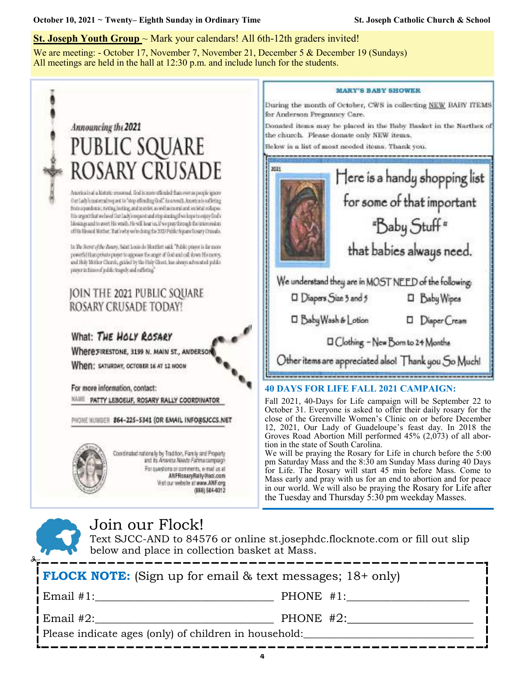## **St. Joseph Youth Group** ~ Mark your calendars! All 6th-12th graders invited!

We are meeting: - October 17, November 7, November 21, December 5 & December 19 (Sundays) All meetings are held in the hall at 12:30 p.m. and include lunch for the students.



for Life. The Rosary will start 45 min before Mass. Come to Mass early and pray with us for an end to abortion and for peace in our world. We will also be praying the Rosary for Life after the Tuesday and Thursday 5:30 pm weekday Masses.



# Join our Flock!

Visit our vebsite at www.ANF.org

(888) 584-6012

Text SJCC-AND to 84576 or online st.josephdc.flocknote.com or fill out slip below and place in collection basket at Mass.

| <b>FLOCK NOTE:</b> (Sign up for email & text messages; 18+ only) |              |
|------------------------------------------------------------------|--------------|
| $\frac{1}{2}$ Email #1:                                          | $PHONE$ #1:  |
| $i$ Email #2:                                                    | PHONE $#2$ : |
| Please indicate ages (only) of children in household:            |              |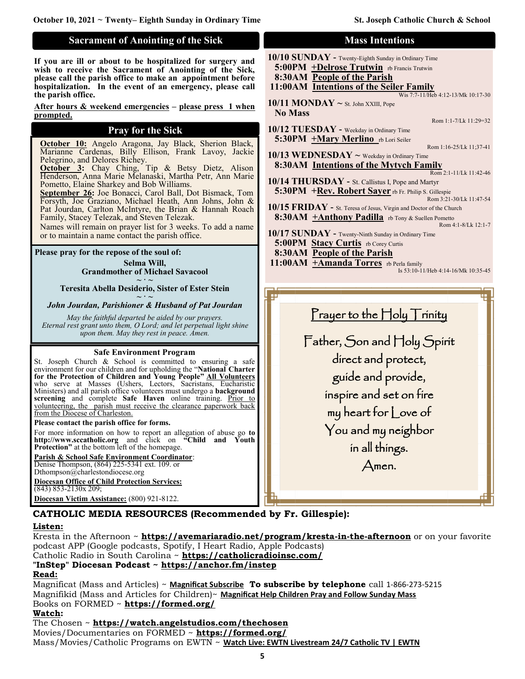# **Sacrament of Anointing of the Sick**

**If you are ill or about to be hospitalized for surgery and wish to receive the Sacrament of Anointing of the Sick, please call the parish office to make an appointment before hospitalization. In the event of an emergency, please call the parish office.** 

**After hours & weekend emergencies – please press 1 when prompted.** 

## **Pray for the Sick**

**October 10:** Angelo Aragona, Jay Black, Sherion Black, Marianne Cardenas, Billy Ellison, Frank Lavoy, Jackie Pelegrino, and Delores Richey.

**October 3:** Chay Ching, Tip & Betsy Dietz, Alison Henderson, Anna Marie Melanaski, Martha Petr, Ann Marie Pometto, Elaine Sharkey and Bob Williams.

**September 26:** Joe Bonacci, Carol Ball, Dot Bismack, Tom Forsyth, Joe Graziano, Michael Heath, Ann Johns, John & Pat Jourdan, Carlton McIntyre, the Brian & Hannah Roach Family, Stacey Telezak, and Steven Telezak.

Names will remain on prayer list for 3 weeks. To add a name or to maintain a name contact the parish office.

#### **Please pray for the repose of the soul of:**

**Selma Will, Grandmother of Michael Savacool**   $\sim \cdot \sim$ 

#### **Teresita Abella Desiderio, Sister of Ester Stein**  $\sim \cdot \sim$

#### *John Jourdan, Parishioner & Husband of Pat Jourdan*

*May the faithful departed be aided by our prayers. Eternal rest grant unto them, O Lord; and let perpetual light shine upon them. May they rest in peace. Amen.*

#### **Safe Environment Program**

St. Joseph Church & School is committed to ensuring a safe environment for our children and for upholding the "**National Charter for the Protection of Children and Young People" All Volunteers** who serve at Masses (Ushers, Lectors, Sacristans, Eucharistic Ministers) and all parish office volunteers must undergo a **background screening** and complete **Safe Haven** online training. Prior to volunteering, the parish must receive the clearance paperwork back from the Diocese of Charleston.

#### **Please contact the parish office for forms.**

For more information on how to report an allegation of abuse go **to http://www.sccatholic.org** and click on **"Child and Youth Protection"** at the bottom left of the homepage.

#### **Parish & School Safe Environment Coordinator**: Denise Thompson, (864) 225-5341 ext. 109. or Dthompson@charlestondiocese.org

**Diocesan Office of Child Protection Services:** (843) 853-2130x 209;

**Diocesan Victim Assistance:** (800) 921-8122.

# **Mass Intentions**

|                | $10/10$ SUNDAY - Twenty-Eighth Sunday in Ordinary Time<br>5:00PM +Delrose Trutwin rb Francis Trutwin<br>8:30AM People of the Parish |
|----------------|-------------------------------------------------------------------------------------------------------------------------------------|
|                | 11:00AM Intentions of the Seiler Family<br>Wis 7:7-11/Heb 4:12-13/Mk 10:17-30                                                       |
| <b>No Mass</b> | $10/11$ MONDAY $\sim$ St. John XXIII, Pope                                                                                          |
|                | Rom 1:1-7/Lk 11:29=32<br>10/12 TUESDAY - Weekday in Ordinary Time                                                                   |
|                | 5:30PM +Mary Merlino rb Lori Seiler                                                                                                 |
|                | Rom 1:16-25/Lk 11:37-41                                                                                                             |
|                | 10/13 WEDNESDAY $\sim$ Weekday in Ordinary Time                                                                                     |
|                | 8:30AM Intentions of the Mytych Family                                                                                              |
|                | Rom 2:1-11/Lk 11:42-46                                                                                                              |
|                | 10/14 THURSDAY - St. Callistus I, Pope and Martyr                                                                                   |
|                | 5:30PM +Rev. Robert Sayer rb Fr. Philip S. Gillespie<br>Rom 3:21-30/Lk 11:47-54                                                     |
|                | 10/15 FRIDAY - St. Teresa of Jesus, Virgin and Doctor of the Church                                                                 |
|                | 8:30AM +Anthony Padilla rb Tony & Suellen Pometto<br>Rom 4:1-8/Lk 12:1-7                                                            |
|                | $10/17$ SUNDAY - Twenty-Ninth Sunday in Ordinary Time                                                                               |
|                | 5:00PM Stacy Curtis rb Corey Curtis                                                                                                 |
|                | 8:30AM People of the Parish                                                                                                         |
|                | 11:00AM +Amanda Torres rb Perla family                                                                                              |
|                | Is 53:10-11/Heb 4:14-16/Mk 10:35-45                                                                                                 |

# Prayer to the Holy Trinity

Father, Son and Holy Spirit direct and protect, guide and provide, inspire and set on fire my heart for Love of You and my neighbor in all things. Amen.

# **CATHOLIC MEDIA RESOURCES (Recommended by Fr. Gillespie):**

#### **Listen:**

Kresta in the Afternoon ~ **[https://avemariaradio.net/program/kresta-in-the-afternoon](https://avemariaradio.net/program/kresta-in-the-afternoon/)** or on your favorite podcast APP (Google podcasts, Spotify, I Heart Radio, Apple Podcasts) Catholic Radio in South Carolina ~ **<https://catholicradioinsc.com/>**

### **"InStep" Diocesan Podcast ~ <https://anchor.fm/instep>**

# **Read:**

Magnificat (Mass and Articles) ~ **[Magnificat Subscribe](https://bookstore.magnificat.net/subscription/index) To subscribe by telephone** call 1-866-273-5215 Magnifikid (Mass and Articles for Children)~ **[Magnificat Help Children Pray and Follow Sunday Mass](https://us.magnificat.net/home/magnifikid)** Books on FORMED ~ **<https://formed.org/>**

#### **Watch:**

The Chosen ~ **<https://watch.angelstudios.com/thechosen>** Movies/Documentaries on FORMED ~ **<https://formed.org/>** Mass/Movies/Catholic Programs on EWTN ~ **[Watch Live: EWTN Livestream 24/7 Catholic TV | EWTN](https://www.ewtn.com/tv/watch-live)**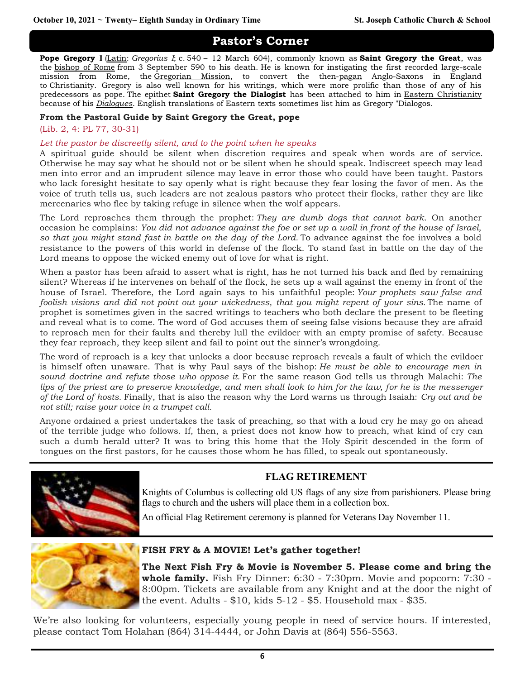# **Pastor's Corner**

**Pope Gregory I** [\(Latin:](https://en.m.wikipedia.org/wiki/Latin_language) *Gregorius I*; c. 540 – 12 March 604), commonly known as **Saint Gregory the Great**, was the [bishop of Rome](https://en.m.wikipedia.org/wiki/Bishop_of_Rome) from 3 September 590 to his death. He is known for instigating the first recorded large-scale mission from Rome, the [Gregorian Mission,](https://en.m.wikipedia.org/wiki/Gregorian_Mission) to convert the then-[pagan](https://en.m.wikipedia.org/wiki/Pagan) Anglo-Saxons in England to [Christianity.](https://en.m.wikipedia.org/wiki/Christianity) Gregory is also well known for his writings, which were more prolific than those of any of his predecessors as pope. The epithet **Saint Gregory the Dialogist** has been attached to him in [Eastern Christianity](https://en.m.wikipedia.org/wiki/Eastern_Christianity) because of his *[Dialogues](https://en.m.wikipedia.org/wiki/Dialogues_(Pope_Gregory))*. English translations of Eastern texts sometimes list him as Gregory "Dialogos.

### **From the Pastoral Guide by Saint Gregory the Great, pope**

#### (Lib. 2, 4: PL 77, 30-31)

#### *Let the pastor be discreetly silent, and to the point when he speaks*

A spiritual guide should be silent when discretion requires and speak when words are of service. Otherwise he may say what he should not or be silent when he should speak. Indiscreet speech may lead men into error and an imprudent silence may leave in error those who could have been taught. Pastors who lack foresight hesitate to say openly what is right because they fear losing the favor of men. As the voice of truth tells us, such leaders are not zealous pastors who protect their flocks, rather they are like mercenaries who flee by taking refuge in silence when the wolf appears.

The Lord reproaches them through the prophet: *They are dumb dogs that cannot bark.* On another occasion he complains: *You did not advance against the foe or set up a wall in front of the house of Israel, so that you might stand fast in battle on the day of the Lord.* To advance against the foe involves a bold resistance to the powers of this world in defense of the flock. To stand fast in battle on the day of the Lord means to oppose the wicked enemy out of love for what is right.

When a pastor has been afraid to assert what is right, has he not turned his back and fled by remaining silent? Whereas if he intervenes on behalf of the flock, he sets up a wall against the enemy in front of the house of Israel. Therefore, the Lord again says to his unfaithful people: *Your prophets saw false and foolish visions and did not point out your wickedness, that you might repent of your sins.* The name of prophet is sometimes given in the sacred writings to teachers who both declare the present to be fleeting and reveal what is to come. The word of God accuses them of seeing false visions because they are afraid to reproach men for their faults and thereby lull the evildoer with an empty promise of safety. Because they fear reproach, they keep silent and fail to point out the sinner's wrongdoing.

The word of reproach is a key that unlocks a door because reproach reveals a fault of which the evildoer is himself often unaware. That is why Paul says of the bishop: *He must be able to encourage men in sound doctrine and refute those who oppose it.* For the same reason God tells us through Malachi: *The lips of the priest are to preserve knowledge, and men shall look to him for the law, for he is the messenger of the Lord of hosts.* Finally, that is also the reason why the Lord warns us through Isaiah: *Cry out and be not still; raise your voice in a trumpet call.*

Anyone ordained a priest undertakes the task of preaching, so that with a loud cry he may go on ahead of the terrible judge who follows. If, then, a priest does not know how to preach, what kind of cry can such a dumb herald utter? It was to bring this home that the Holy Spirit descended in the form of tongues on the first pastors, for he causes those whom he has filled, to speak out spontaneously.



# **FLAG RETIREMENT**

Knights of Columbus is collecting old US flags of any size from parishioners. Please bring flags to church and the ushers will place them in a collection box.

An official Flag Retirement ceremony is planned for Veterans Day November 11.



### **FISH FRY & A MOVIE! Let's gather together!**

**The Next Fish Fry & Movie is November 5. Please come and bring the whole family.** Fish Fry Dinner: 6:30 - 7:30pm. Movie and popcorn: 7:30 - 8:00pm. Tickets are available from any Knight and at the door the night of the event. Adults -  $$10,$  kids  $5-12$  -  $$5.$  Household max -  $$35.$ 

We're also looking for volunteers, especially young people in need of service hours. If interested, please contact Tom Holahan (864) 314-4444, or John Davis at (864) 556-5563.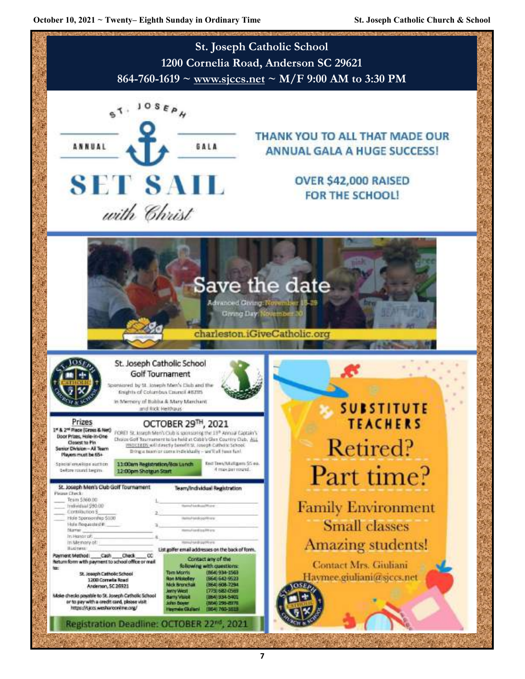**October 10, 2021 ~ Twenty– Eighth Sunday in Ordinary Time St. Joseph Catholic Church & School** 

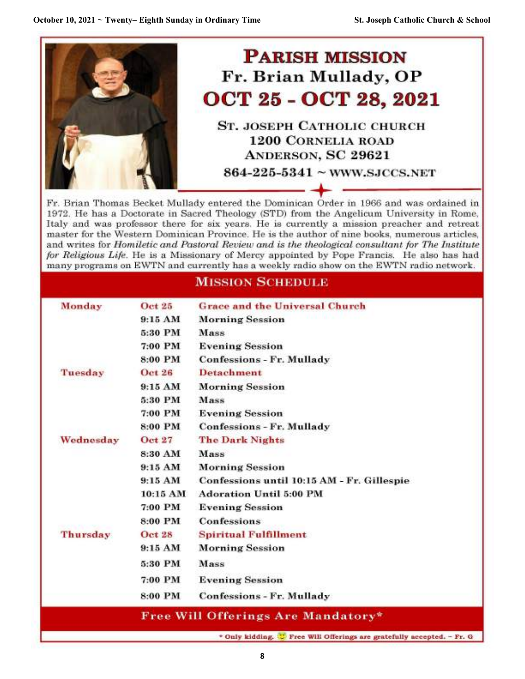

Fr. Brian Thomas Becket Mullady entered the Dominican Order in 1966 and was ordained in 1972. He has a Doctorate in Sacred Theology (STD) from the Angelicum University in Rome, Italy and was professor there for six years. He is currently a mission preacher and retreat master for the Western Dominican Province. He is the author of nine books, numerous articles, and writes for Homiletic and Pastoral Review and is the theological consultant for The Institute for Religious Life. He is a Missionary of Mercy appointed by Pope Francis. He also has had many programs on EWTN and currently has a weekly radio show on the EWTN radio network.

# **MISSION SCHEDULE**

| Monday    | Oct 25        | <b>Grace and the Universal Church</b>       |
|-----------|---------------|---------------------------------------------|
|           | 9:15 AM       | <b>Morning Session</b>                      |
|           | 5:30 PM       | Mass                                        |
|           | 7:00 PM       | <b>Evening Session</b>                      |
|           | 8:00 PM       | <b>Confessions - Fr. Mullady</b>            |
| Tuesday   | <b>Oct 26</b> | <b>Detachment</b>                           |
|           | 9:15 AM       | <b>Morning Session</b>                      |
|           | 5:30 PM       | Mass                                        |
|           | 7:00 PM       | <b>Evening Session</b>                      |
|           | 8:00 PM       | <b>Confessions - Fr. Mullady</b>            |
| Wednesday | <b>Oct 27</b> | <b>The Dark Nights</b>                      |
|           | 8:30 AM       | Mass                                        |
|           | 9:15 AM       | <b>Morning Session</b>                      |
|           | 9:15 AM       | Confessions until 10:15 AM - Fr. Gillespie. |
|           | 10:15 AM      | <b>Adoration Until 5:00 PM</b>              |
|           | 7:00 PM       | <b>Evening Session</b>                      |
|           | 8:00 PM       | <b>Confessions</b>                          |
| Thursday  | Oct 28        | <b>Spiritual Fulfillment</b>                |
|           | 9:15 AM       | <b>Morning Session</b>                      |
|           | 5:30 PM       | Mass                                        |
|           | 7:00 PM       | <b>Evening Session</b>                      |
|           | 8:00 PM       | <b>Confessions - Fr. Mullady</b>            |
|           |               | <b>Free Will Offerings Are Mandatory*</b>   |

\* Only kidding. <sup>12</sup> Free Will Offerings are gratefully accepted. - Fr. G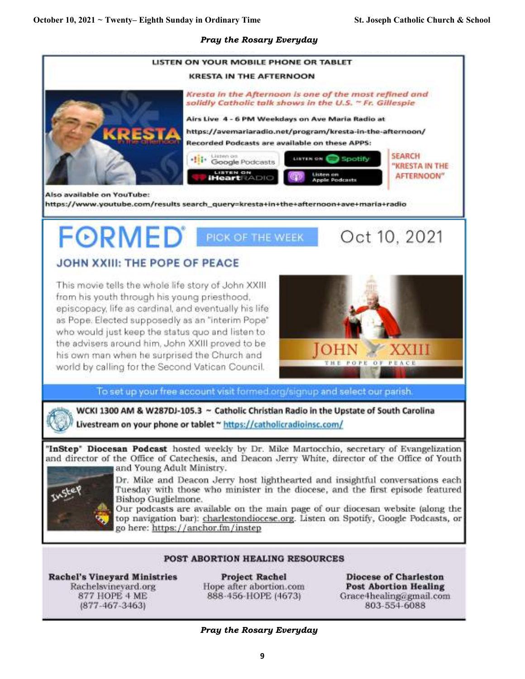*Pray the Rosary Everyday* 



*Pray the Rosary Everyday*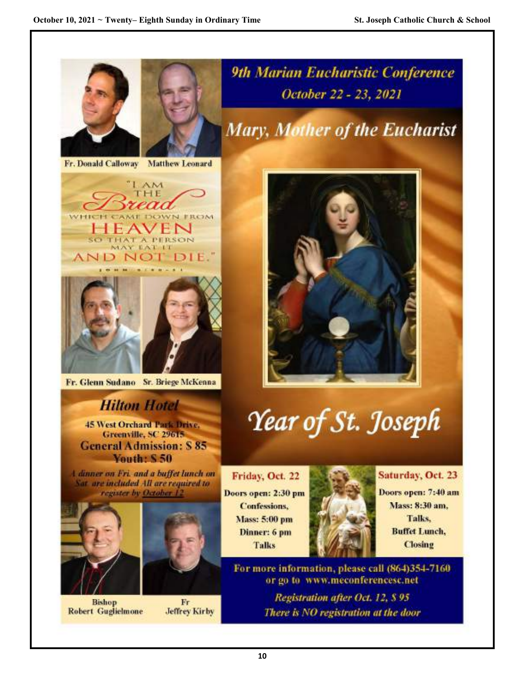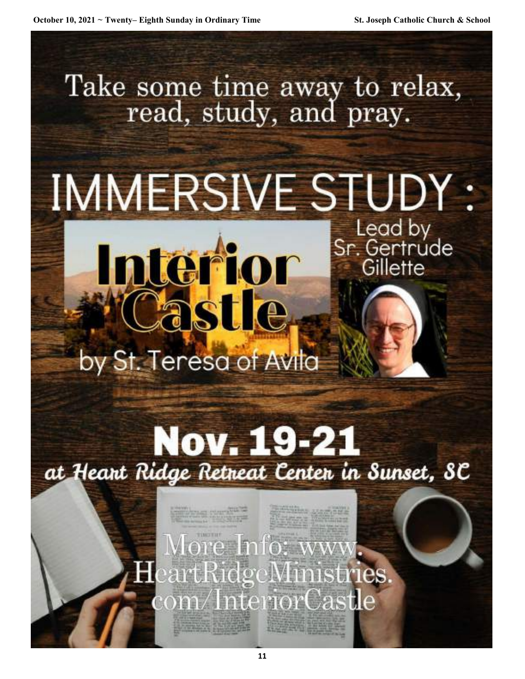# Take some time away to relax,<br>read, study, and pray.

# **IMMERSIVE STUDY:** Lead by<br>Sr. Gertrude<br>Gillette Interior

# by St. Teresa of Avila

Castle

# **Nov. 19-21** at Heant Ridge Retneat Centen in Sunset, SC

More Info: www

**H**eartRidgeMinistries.

com/InteriorCastle